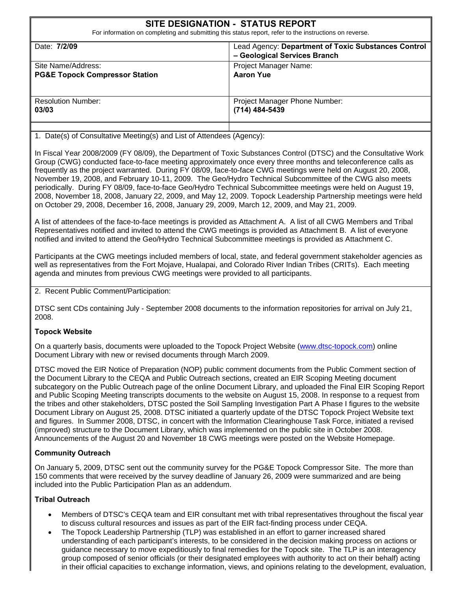# **SITE DESIGNATION - STATUS REPORT**

For information on completing and submitting this status report, refer to the instructions on reverse.

| Date: 7/2/09                              | Lead Agency: Department of Toxic Substances Control<br>- Geological Services Branch |
|-------------------------------------------|-------------------------------------------------------------------------------------|
| Site Name/Address:                        | Project Manager Name:                                                               |
| <b>PG&amp;E Topock Compressor Station</b> | <b>Aaron Yue</b>                                                                    |
| <b>Resolution Number:</b>                 | Project Manager Phone Number:                                                       |
| 03/03                                     | (714) 484-5439                                                                      |
|                                           |                                                                                     |

1. Date(s) of Consultative Meeting(s) and List of Attendees (Agency):

In Fiscal Year 2008/2009 (FY 08/09), the Department of Toxic Substances Control (DTSC) and the Consultative Work Group (CWG) conducted face-to-face meeting approximately once every three months and teleconference calls as frequently as the project warranted. During FY 08/09, face-to-face CWG meetings were held on August 20, 2008, November 19, 2008, and February 10-11, 2009. The Geo/Hydro Technical Subcommittee of the CWG also meets periodically. During FY 08/09, face-to-face Geo/Hydro Technical Subcommittee meetings were held on August 19, 2008, November 18, 2008, January 22, 2009, and May 12, 2009. Topock Leadership Partnership meetings were held on October 29, 2008, December 16, 2008, January 29, 2009, March 12, 2009, and May 21, 2009.

A list of attendees of the face-to-face meetings is provided as Attachment A. A list of all CWG Members and Tribal Representatives notified and invited to attend the CWG meetings is provided as Attachment B. A list of everyone notified and invited to attend the Geo/Hydro Technical Subcommittee meetings is provided as Attachment C.

Participants at the CWG meetings included members of local, state, and federal government stakeholder agencies as well as representatives from the Fort Mojave, Hualapai, and Colorado River Indian Tribes (CRITs). Each meeting agenda and minutes from previous CWG meetings were provided to all participants.

2. Recent Public Comment/Participation:

DTSC sent CDs containing July - September 2008 documents to the information repositories for arrival on July 21, 2008.

#### **Topock Website**

On a quarterly basis, documents were uploaded to the Topock Project Website (www.dtsc-topock.com) online Document Library with new or revised documents through March 2009.

DTSC moved the EIR Notice of Preparation (NOP) public comment documents from the Public Comment section of the Document Library to the CEQA and Public Outreach sections, created an EIR Scoping Meeting document subcategory on the Public Outreach page of the online Document Library, and uploaded the Final EIR Scoping Report and Public Scoping Meeting transcripts documents to the website on August 15, 2008. In response to a request from the tribes and other stakeholders, DTSC posted the Soil Sampling Investigation Part A Phase I figures to the website Document Library on August 25, 2008. DTSC initiated a quarterly update of the DTSC Topock Project Website text and figures. In Summer 2008, DTSC, in concert with the Information Clearinghouse Task Force, initiated a revised (improved) structure to the Document Library, which was implemented on the public site in October 2008. Announcements of the August 20 and November 18 CWG meetings were posted on the Website Homepage.

#### **Community Outreach**

On January 5, 2009, DTSC sent out the community survey for the PG&E Topock Compressor Site. The more than 150 comments that were received by the survey deadline of January 26, 2009 were summarized and are being included into the Public Participation Plan as an addendum.

#### **Tribal Outreach**

- Members of DTSC's CEQA team and EIR consultant met with tribal representatives throughout the fiscal year to discuss cultural resources and issues as part of the EIR fact-finding process under CEQA.
- The Topock Leadership Partnership (TLP) was established in an effort to garner increased shared understanding of each participant's interests, to be considered in the decision making process on actions or guidance necessary to move expeditiously to final remedies for the Topock site. The TLP is an interagency group composed of senior officials (or their designated employees with authority to act on their behalf) acting in their official capacities to exchange information, views, and opinions relating to the development, evaluation,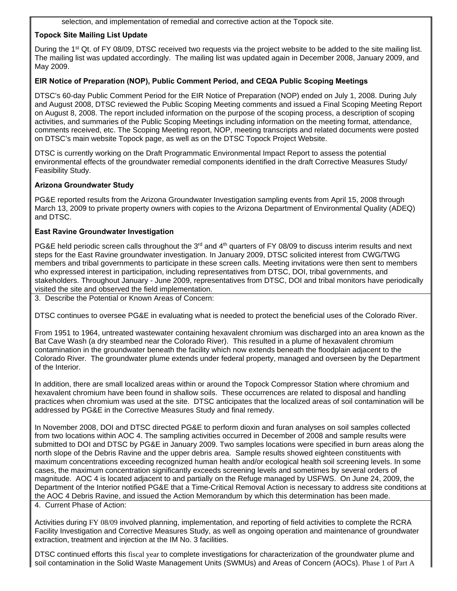selection, and implementation of remedial and corrective action at the Topock site.

#### **Topock Site Mailing List Update**

During the 1<sup>st</sup> Qt. of FY 08/09, DTSC received two requests via the project website to be added to the site mailing list. The mailing list was updated accordingly. The mailing list was updated again in December 2008, January 2009, and May 2009.

#### **EIR Notice of Preparation (NOP), Public Comment Period, and CEQA Public Scoping Meetings**

DTSC's 60-day Public Comment Period for the EIR Notice of Preparation (NOP) ended on July 1, 2008. During July and August 2008, DTSC reviewed the Public Scoping Meeting comments and issued a Final Scoping Meeting Report on August 8, 2008. The report included information on the purpose of the scoping process, a description of scoping activities, and summaries of the Public Scoping Meetings including information on the meeting format, attendance, comments received, etc. The Scoping Meeting report, NOP, meeting transcripts and related documents were posted on DTSC's main website Topock page, as well as on the DTSC Topock Project Website.

DTSC is currently working on the Draft Programmatic Environmental Impact Report to assess the potential environmental effects of the groundwater remedial components identified in the draft Corrective Measures Study/ Feasibility Study.

#### **Arizona Groundwater Study**

PG&E reported results from the Arizona Groundwater Investigation sampling events from April 15, 2008 through March 13, 2009 to private property owners with copies to the Arizona Department of Environmental Quality (ADEQ) and DTSC.

#### **East Ravine Groundwater Investigation**

PG&E held periodic screen calls throughout the 3<sup>rd</sup> and  $4<sup>th</sup>$  quarters of FY 08/09 to discuss interim results and next steps for the East Ravine groundwater investigation. In January 2009, DTSC solicited interest from CWG/TWG members and tribal governments to participate in these screen calls. Meeting invitations were then sent to members who expressed interest in participation, including representatives from DTSC, DOI, tribal governments, and stakeholders. Throughout January - June 2009, representatives from DTSC, DOI and tribal monitors have periodically visited the site and observed the field implementation.

3. Describe the Potential or Known Areas of Concern:

DTSC continues to oversee PG&E in evaluating what is needed to protect the beneficial uses of the Colorado River.

From 1951 to 1964, untreated wastewater containing hexavalent chromium was discharged into an area known as the Bat Cave Wash (a dry steambed near the Colorado River). This resulted in a plume of hexavalent chromium contamination in the groundwater beneath the facility which now extends beneath the floodplain adjacent to the Colorado River. The groundwater plume extends under federal property, managed and overseen by the Department of the Interior.

In addition, there are small localized areas within or around the Topock Compressor Station where chromium and hexavalent chromium have been found in shallow soils. These occurrences are related to disposal and handling practices when chromium was used at the site. DTSC anticipates that the localized areas of soil contamination will be addressed by PG&E in the Corrective Measures Study and final remedy.

In November 2008, DOI and DTSC directed PG&E to perform dioxin and furan analyses on soil samples collected from two locations within AOC 4. The sampling activities occurred in December of 2008 and sample results were submitted to DOI and DTSC by PG&E in January 2009. Two samples locations were specified in burn areas along the north slope of the Debris Ravine and the upper debris area. Sample results showed eighteen constituents with maximum concentrations exceeding recognized human health and/or ecological health soil screening levels. In some cases, the maximum concentration significantly exceeds screening levels and sometimes by several orders of magnitude. AOC 4 is located adjacent to and partially on the Refuge managed by USFWS. On June 24, 2009, the Department of the Interior notified PG&E that a Time-Critical Removal Action is necessary to address site conditions at the AOC 4 Debris Ravine, and issued the Action Memorandum by which this determination has been made.

4. Current Phase of Action:

Activities during FY 08/09 involved planning, implementation, and reporting of field activities to complete the RCRA Facility Investigation and Corrective Measures Study, as well as ongoing operation and maintenance of groundwater extraction, treatment and injection at the IM No. 3 facilities.

DTSC continued efforts this fiscal year to complete investigations for characterization of the groundwater plume and soil contamination in the Solid Waste Management Units (SWMUs) and Areas of Concern (AOCs). Phase 1 of Part A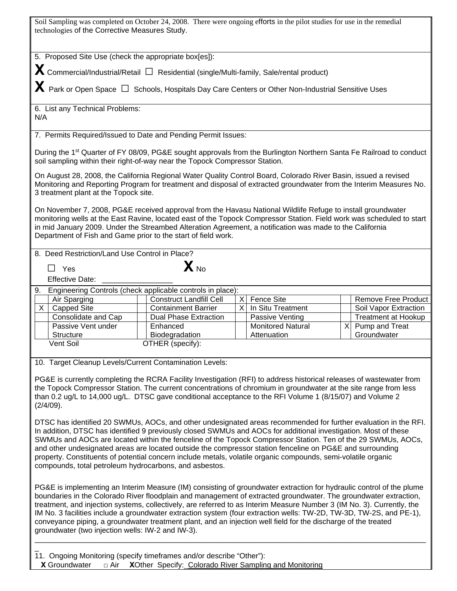| Soil Sampling was completed on October 24, 2008. There were ongoing efforts in the pilot studies for use in the remedial<br>technologies of the Corrective Measures Study.                                                                                                                                                                                                                                                                                                                                                                                                                                                                                       |                                                            |    |                          |  |                            |  |
|------------------------------------------------------------------------------------------------------------------------------------------------------------------------------------------------------------------------------------------------------------------------------------------------------------------------------------------------------------------------------------------------------------------------------------------------------------------------------------------------------------------------------------------------------------------------------------------------------------------------------------------------------------------|------------------------------------------------------------|----|--------------------------|--|----------------------------|--|
| 5. Proposed Site Use (check the appropriate box[es]):                                                                                                                                                                                                                                                                                                                                                                                                                                                                                                                                                                                                            |                                                            |    |                          |  |                            |  |
|                                                                                                                                                                                                                                                                                                                                                                                                                                                                                                                                                                                                                                                                  |                                                            |    |                          |  |                            |  |
| <b>X</b> Commercial/Industrial/Retail $□$ Residential (single/Multi-family, Sale/rental product)                                                                                                                                                                                                                                                                                                                                                                                                                                                                                                                                                                 |                                                            |    |                          |  |                            |  |
| $\bm{X}$ Park or Open Space $\Box$ Schools, Hospitals Day Care Centers or Other Non-Industrial Sensitive Uses                                                                                                                                                                                                                                                                                                                                                                                                                                                                                                                                                    |                                                            |    |                          |  |                            |  |
| 6. List any Technical Problems:<br>N/A                                                                                                                                                                                                                                                                                                                                                                                                                                                                                                                                                                                                                           |                                                            |    |                          |  |                            |  |
| 7. Permits Required/Issued to Date and Pending Permit Issues:                                                                                                                                                                                                                                                                                                                                                                                                                                                                                                                                                                                                    |                                                            |    |                          |  |                            |  |
| During the 1 <sup>st</sup> Quarter of FY 08/09, PG&E sought approvals from the Burlington Northern Santa Fe Railroad to conduct<br>soil sampling within their right-of-way near the Topock Compressor Station.                                                                                                                                                                                                                                                                                                                                                                                                                                                   |                                                            |    |                          |  |                            |  |
| On August 28, 2008, the California Regional Water Quality Control Board, Colorado River Basin, issued a revised<br>Monitoring and Reporting Program for treatment and disposal of extracted groundwater from the Interim Measures No.<br>3 treatment plant at the Topock site.                                                                                                                                                                                                                                                                                                                                                                                   |                                                            |    |                          |  |                            |  |
| On November 7, 2008, PG&E received approval from the Havasu National Wildlife Refuge to install groundwater<br>monitoring wells at the East Ravine, located east of the Topock Compressor Station. Field work was scheduled to start<br>in mid January 2009. Under the Streambed Alteration Agreement, a notification was made to the California<br>Department of Fish and Game prior to the start of field work.                                                                                                                                                                                                                                                |                                                            |    |                          |  |                            |  |
| 8. Deed Restriction/Land Use Control in Place?                                                                                                                                                                                                                                                                                                                                                                                                                                                                                                                                                                                                                   |                                                            |    |                          |  |                            |  |
| Yes                                                                                                                                                                                                                                                                                                                                                                                                                                                                                                                                                                                                                                                              | $\mathbf{X}_{\text{No}}$                                   |    |                          |  |                            |  |
| <b>Effective Date:</b>                                                                                                                                                                                                                                                                                                                                                                                                                                                                                                                                                                                                                                           |                                                            |    |                          |  |                            |  |
| 9.                                                                                                                                                                                                                                                                                                                                                                                                                                                                                                                                                                                                                                                               | Engineering Controls (check applicable controls in place): |    |                          |  |                            |  |
| Air Sparging                                                                                                                                                                                                                                                                                                                                                                                                                                                                                                                                                                                                                                                     | <b>Construct Landfill Cell</b>                             | X  | Fence Site               |  | <b>Remove Free Product</b> |  |
| X<br><b>Capped Site</b>                                                                                                                                                                                                                                                                                                                                                                                                                                                                                                                                                                                                                                          | <b>Containment Barrier</b>                                 | X. | In Situ Treatment        |  | Soil Vapor Extraction      |  |
| Consolidate and Cap                                                                                                                                                                                                                                                                                                                                                                                                                                                                                                                                                                                                                                              | <b>Dual Phase Extraction</b>                               |    | Passive Venting          |  | <b>Treatment at Hookup</b> |  |
| Passive Vent under                                                                                                                                                                                                                                                                                                                                                                                                                                                                                                                                                                                                                                               | Enhanced                                                   |    | <b>Monitored Natural</b> |  | $X$ Pump and Treat         |  |
| <b>Structure</b>                                                                                                                                                                                                                                                                                                                                                                                                                                                                                                                                                                                                                                                 | Biodegradation                                             |    | Attenuation              |  | Groundwater                |  |
| Vent Soil                                                                                                                                                                                                                                                                                                                                                                                                                                                                                                                                                                                                                                                        | OTHER (specify):                                           |    |                          |  |                            |  |
| 10. Target Cleanup Levels/Current Contamination Levels:                                                                                                                                                                                                                                                                                                                                                                                                                                                                                                                                                                                                          |                                                            |    |                          |  |                            |  |
| PG&E is currently completing the RCRA Facility Investigation (RFI) to address historical releases of wastewater from<br>the Topock Compressor Station. The current concentrations of chromium in groundwater at the site range from less<br>than 0.2 ug/L to 14,000 ug/L. DTSC gave conditional acceptance to the RFI Volume 1 (8/15/07) and Volume 2<br>(2/4/09).                                                                                                                                                                                                                                                                                               |                                                            |    |                          |  |                            |  |
| DTSC has identified 20 SWMUs, AOCs, and other undesignated areas recommended for further evaluation in the RFI.<br>In addition, DTSC has identified 9 previously closed SWMUs and AOCs for additional investigation. Most of these<br>SWMUs and AOCs are located within the fenceline of the Topock Compressor Station. Ten of the 29 SWMUs, AOCs,<br>and other undesignated areas are located outside the compressor station fenceline on PG&E and surrounding<br>property. Constituents of potential concern include metals, volatile organic compounds, semi-volatile organic<br>compounds, total petroleum hydrocarbons, and asbestos.                       |                                                            |    |                          |  |                            |  |
| PG&E is implementing an Interim Measure (IM) consisting of groundwater extraction for hydraulic control of the plume<br>boundaries in the Colorado River floodplain and management of extracted groundwater. The groundwater extraction,<br>treatment, and injection systems, collectively, are referred to as Interim Measure Number 3 (IM No. 3). Currently, the<br>IM No. 3 facilities include a groundwater extraction system (four extraction wells: TW-2D, TW-3D, TW-2S, and PE-1),<br>conveyance piping, a groundwater treatment plant, and an injection well field for the discharge of the treated<br>groundwater (two injection wells: IW-2 and IW-3). |                                                            |    |                          |  |                            |  |

 $\Box$ 

 $\overline{a}$ 11. Ongoing Monitoring (specify timeframes and/or describe "Other"):  **X** Groundwater **□** Air **X**Other Specify:\_Colorado River Sampling and Monitoring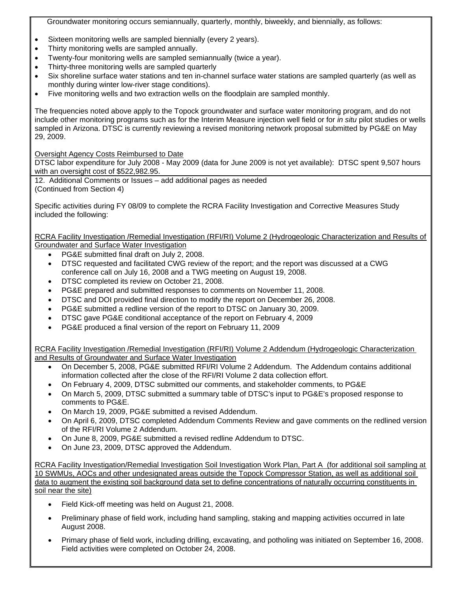Groundwater monitoring occurs semiannually, quarterly, monthly, biweekly, and biennially, as follows:

- Sixteen monitoring wells are sampled biennially (every 2 years).
- Thirty monitoring wells are sampled annually.
- Twenty-four monitoring wells are sampled semiannually (twice a year).
- Thirty-three monitoring wells are sampled quarterly
- Six shoreline surface water stations and ten in-channel surface water stations are sampled quarterly (as well as monthly during winter low-river stage conditions).
- Five monitoring wells and two extraction wells on the floodplain are sampled monthly.

The frequencies noted above apply to the Topock groundwater and surface water monitoring program, and do not include other monitoring programs such as for the Interim Measure injection well field or for *in situ* pilot studies or wells sampled in Arizona. DTSC is currently reviewing a revised monitoring network proposal submitted by PG&E on May 29, 2009.

Oversight Agency Costs Reimbursed to Date

DTSC labor expenditure for July 2008 - May 2009 (data for June 2009 is not yet available): DTSC spent 9,507 hours with an oversight cost of \$522,982.95.

12. Additional Comments or Issues – add additional pages as needed (Continued from Section 4)

Specific activities during FY 08/09 to complete the RCRA Facility Investigation and Corrective Measures Study included the following:

RCRA Facility Investigation /Remedial Investigation (RFI/RI) Volume 2 (Hydrogeologic Characterization and Results of Groundwater and Surface Water Investigation

- PG&E submitted final draft on July 2, 2008.
- DTSC requested and facilitated CWG review of the report; and the report was discussed at a CWG conference call on July 16, 2008 and a TWG meeting on August 19, 2008.
- DTSC completed its review on October 21, 2008.
- PG&E prepared and submitted responses to comments on November 11, 2008.
- DTSC and DOI provided final direction to modify the report on December 26, 2008.
- PG&E submitted a redline version of the report to DTSC on January 30, 2009.
- DTSC gave PG&E conditional acceptance of the report on February 4, 2009
- PG&E produced a final version of the report on February 11, 2009

RCRA Facility Investigation /Remedial Investigation (RFI/RI) Volume 2 Addendum (Hydrogeologic Characterization and Results of Groundwater and Surface Water Investigation

- On December 5, 2008, PG&E submitted RFI/RI Volume 2 Addendum. The Addendum contains additional information collected after the close of the RFI/RI Volume 2 data collection effort.
- On February 4, 2009, DTSC submitted our comments, and stakeholder comments, to PG&E
- On March 5, 2009, DTSC submitted a summary table of DTSC's input to PG&E's proposed response to comments to PG&E.
- On March 19, 2009, PG&E submitted a revised Addendum.
- On April 6, 2009, DTSC completed Addendum Comments Review and gave comments on the redlined version of the RFI/RI Volume 2 Addendum.
- On June 8, 2009, PG&E submitted a revised redline Addendum to DTSC.
- On June 23, 2009, DTSC approved the Addendum.

RCRA Facility Investigation/Remedial Investigation Soil Investigation Work Plan, Part A (for additional soil sampling at 10 SWMUs, AOCs and other undesignated areas outside the Topock Compressor Station, as well as additional soil data to augment the existing soil background data set to define concentrations of naturally occurring constituents in soil near the site)

- Field Kick-off meeting was held on August 21, 2008.
- Preliminary phase of field work, including hand sampling, staking and mapping activities occurred in late August 2008.
- Primary phase of field work, including drilling, excavating, and potholing was initiated on September 16, 2008. Field activities were completed on October 24, 2008.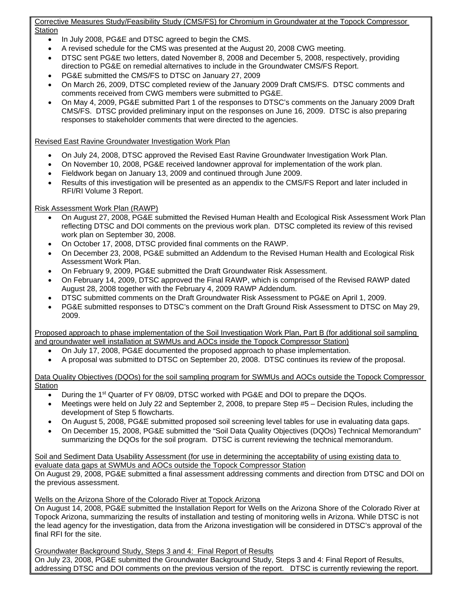Corrective Measures Study/Feasibility Study (CMS/FS) for Chromium in Groundwater at the Topock Compressor Station

- In July 2008, PG&E and DTSC agreed to begin the CMS.
- A revised schedule for the CMS was presented at the August 20, 2008 CWG meeting.
- DTSC sent PG&E two letters, dated November 8, 2008 and December 5, 2008, respectively, providing direction to PG&E on remedial alternatives to include in the Groundwater CMS/FS Report.
- PG&E submitted the CMS/FS to DTSC on January 27, 2009
- On March 26, 2009, DTSC completed review of the January 2009 Draft CMS/FS. DTSC comments and comments received from CWG members were submitted to PG&E.
- On May 4, 2009, PG&E submitted Part 1 of the responses to DTSC's comments on the January 2009 Draft CMS/FS. DTSC provided preliminary input on the responses on June 16, 2009. DTSC is also preparing responses to stakeholder comments that were directed to the agencies.

Revised East Ravine Groundwater Investigation Work Plan

- On July 24, 2008, DTSC approved the Revised East Ravine Groundwater Investigation Work Plan.
- On November 10, 2008, PG&E received landowner approval for implementation of the work plan.
- Fieldwork began on January 13, 2009 and continued through June 2009.
- Results of this investigation will be presented as an appendix to the CMS/FS Report and later included in RFI/RI Volume 3 Report.

#### Risk Assessment Work Plan (RAWP)

- On August 27, 2008, PG&E submitted the Revised Human Health and Ecological Risk Assessment Work Plan reflecting DTSC and DOI comments on the previous work plan. DTSC completed its review of this revised work plan on September 30, 2008.
- On October 17, 2008, DTSC provided final comments on the RAWP.
- On December 23, 2008, PG&E submitted an Addendum to the Revised Human Health and Ecological Risk Assessment Work Plan.
- On February 9, 2009, PG&E submitted the Draft Groundwater Risk Assessment.
- On February 14, 2009, DTSC approved the Final RAWP, which is comprised of the Revised RAWP dated August 28, 2008 together with the February 4, 2009 RAWP Addendum.
- DTSC submitted comments on the Draft Groundwater Risk Assessment to PG&E on April 1, 2009.
- PG&E submitted responses to DTSC's comment on the Draft Ground Risk Assessment to DTSC on May 29, 2009.

Proposed approach to phase implementation of the Soil Investigation Work Plan, Part B (for additional soil sampling and groundwater well installation at SWMUs and AOCs inside the Topock Compressor Station)

- On July 17, 2008, PG&E documented the proposed approach to phase implementation.
- A proposal was submitted to DTSC on September 20, 2008. DTSC continues its review of the proposal.

Data Quality Objectives (DQOs) for the soil sampling program for SWMUs and AOCs outside the Topock Compressor **Station** 

- During the 1<sup>st</sup> Quarter of FY 08/09, DTSC worked with PG&E and DOI to prepare the DQOs.
- Meetings were held on July 22 and September 2, 2008, to prepare Step #5 Decision Rules, including the development of Step 5 flowcharts.
- On August 5, 2008, PG&E submitted proposed soil screening level tables for use in evaluating data gaps.
- On December 15, 2008, PG&E submitted the "Soil Data Quality Objectives (DQOs) Technical Memorandum" summarizing the DQOs for the soil program. DTSC is current reviewing the technical memorandum.

Soil and Sediment Data Usability Assessment (for use in determining the acceptability of using existing data to evaluate data gaps at SWMUs and AOCs outside the Topock Compressor Station On August 29, 2008, PG&E submitted a final assessment addressing comments and direction from DTSC and DOI on the previous assessment.

#### Wells on the Arizona Shore of the Colorado River at Topock Arizona

On August 14, 2008, PG&E submitted the Installation Report for Wells on the Arizona Shore of the Colorado River at Topock Arizona, summarizing the results of installation and testing of monitoring wells in Arizona. While DTSC is not the lead agency for the investigation, data from the Arizona investigation will be considered in DTSC's approval of the final RFI for the site.

Groundwater Background Study, Steps 3 and 4: Final Report of Results On July 23, 2008, PG&E submitted the Groundwater Background Study, Steps 3 and 4: Final Report of Results, addressing DTSC and DOI comments on the previous version of the report. DTSC is currently reviewing the report.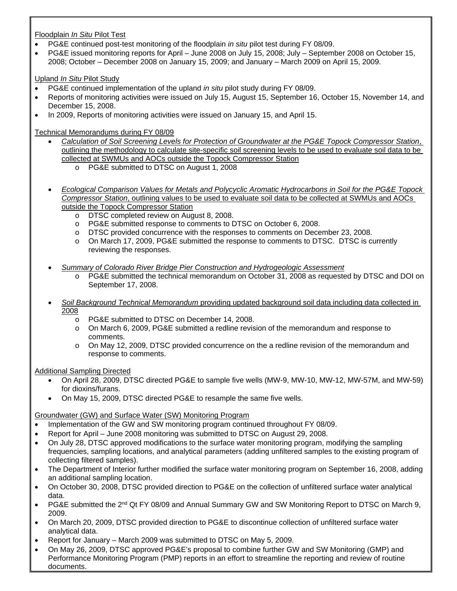#### Floodplain *In Situ* Pilot Test

- PG&E continued post-test monitoring of the floodplain *in situ* pilot test during FY 08/09.
- PG&E issued monitoring reports for April June 2008 on July 15, 2008; July September 2008 on October 15, 2008; October – December 2008 on January 15, 2009; and January – March 2009 on April 15, 2009.

Upland *In Situ* Pilot Study

- PG&E continued implementation of the upland *in situ* pilot study during FY 08/09.
- Reports of monitoring activities were issued on July 15, August 15, September 16, October 15, November 14, and December 15, 2008.
- In 2009, Reports of monitoring activities were issued on January 15, and April 15.

Technical Memorandums during FY 08/09

- *Calculation of Soil Screening Levels for Protection of Groundwater at the PG&E Topock Compressor Station*, outlining the methodology to calculate site-specific soil screening levels to be used to evaluate soil data to be collected at SWMUs and AOCs outside the Topock Compressor Station
	- o PG&E submitted to DTSC on August 1, 2008
- *Ecological Comparison Values for Metals and Polycyclic Aromatic Hydrocarbons in Soil for the PG&E Topock Compressor Station*, outlining values to be used to evaluate soil data to be collected at SWMUs and AOCs outside the Topock Compressor Station
	- o DTSC completed review on August 8, 2008.
	- o PG&E submitted response to comments to DTSC on October 6, 2008.
	- o DTSC provided concurrence with the responses to comments on December 23, 2008.
	- o On March 17, 2009, PG&E submitted the response to comments to DTSC. DTSC is currently reviewing the responses.
- *Summary of Colorado River Bridge Pier Construction and Hydrogeologic Assessment*
	- o PG&E submitted the technical memorandum on October 31, 2008 as requested by DTSC and DOI on September 17, 2008.
- *Soil Background Technical Memorandum* providing updated background soil data including data collected in 2008
	- o PG&E submitted to DTSC on December 14, 2008.
	- o On March 6, 2009, PG&E submitted a redline revision of the memorandum and response to comments.
	- o On May 12, 2009, DTSC provided concurrence on the a redline revision of the memorandum and response to comments.

Additional Sampling Directed

- On April 28, 2009, DTSC directed PG&E to sample five wells (MW-9, MW-10, MW-12, MW-57M, and MW-59) for dioxins/furans.
- On May 15, 2009, DTSC directed PG&E to resample the same five wells.

#### Groundwater (GW) and Surface Water (SW) Monitoring Program

- Implementation of the GW and SW monitoring program continued throughout FY 08/09.
- Report for April June 2008 monitoring was submitted to DTSC on August 29, 2008.
- On July 28, DTSC approved modifications to the surface water monitoring program, modifying the sampling frequencies, sampling locations, and analytical parameters (adding unfiltered samples to the existing program of collecting filtered samples).
- The Department of Interior further modified the surface water monitoring program on September 16, 2008, adding an additional sampling location.
- On October 30, 2008, DTSC provided direction to PG&E on the collection of unfiltered surface water analytical data.
- PG&E submitted the 2<sup>nd</sup> Qt FY 08/09 and Annual Summary GW and SW Monitoring Report to DTSC on March 9, 2009.
- On March 20, 2009, DTSC provided direction to PG&E to discontinue collection of unfiltered surface water analytical data.
- Report for January March 2009 was submitted to DTSC on May 5, 2009.
- On May 26, 2009, DTSC approved PG&E's proposal to combine further GW and SW Monitoring (GMP) and Performance Monitoring Program (PMP) reports in an effort to streamline the reporting and review of routine documents.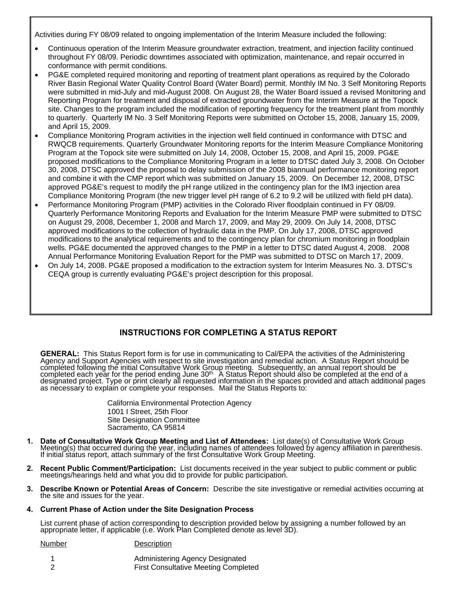Activities during FY 08/09 related to ongoing implementation of the Interim Measure included the following:

- Continuous operation of the Interim Measure groundwater extraction, treatment, and injection facility continued throughout FY 08/09. Periodic downtimes associated with optimization, maintenance, and repair occurred in conformance with permit conditions.
- PG&E completed required monitoring and reporting of treatment plant operations as required by the Colorado River Basin Regional Water Quality Control Board (Water Board) permit. Monthly IM No. 3 Self Monitoring Reports were submitted in mid-July and mid-August 2008. On August 28, the Water Board issued a revised Monitoring and Reporting Program for treatment and disposal of extracted groundwater from the Interim Measure at the Topock site. Changes to the program included the modification of reporting frequency for the treatment plant from monthly to quarterly. Quarterly IM No. 3 Self Monitoring Reports were submitted on October 15, 2008, January 15, 2009, and April 15, 2009.
- Compliance Monitoring Program activities in the injection well field continued in conformance with DTSC and RWQCB requirements. Quarterly Groundwater Monitoring reports for the Interim Measure Compliance Monitoring Program at the Topock site were submitted on July 14, 2008, October 15, 2008, and April 15, 2009. PG&E proposed modifications to the Compliance Monitoring Program in a letter to DTSC dated July 3, 2008. On October 30, 2008, DTSC approved the proposal to delay submission of the 2008 biannual performance monitoring report and combine it with the CMP report which was submitted on January 15, 2009. On December 12, 2008, DTSC approved PG&E's request to modify the pH range utilized in the contingency plan for the IM3 injection area Compliance Monitoring Program (the new trigger level pH range of 6.2 to 9.2 will be utilized with field pH data).
- Performance Monitoring Program (PMP) activities in the Colorado River floodplain continued in FY 08/09. Quarterly Performance Monitoring Reports and Evaluation for the Interim Measure PMP were submitted to DTSC on August 29, 2008, December 1, 2008 and March 17, 2009, and May 29, 2009. On July 14, 2008, DTSC approved modifications to the collection of hydraulic data in the PMP. On July 17, 2008, DTSC approved modifications to the analytical requirements and to the contingency plan for chromium monitoring in floodplain wells. PG&E documented the approved changes to the PMP in a letter to DTSC dated August 4, 2008. 2008 Annual Performance Monitoring Evaluation Report for the PMP was submitted to DTSC on March 17, 2009.
- On July 14, 2008. PG&E proposed a modification to the extraction system for Interim Measures No. 3. DTSC's CEQA group is currently evaluating PG&E's project description for this proposal.

#### **INSTRUCTIONS FOR COMPLETING A STATUS REPORT**

**GENERAL:** This Status Report form is for use in communicating to Cal/EPA the activities of the Administering Agency and Support Agencies with respect to site investigation and remedial action. A Status Report should be co

California Environmental Protection Agency 1001 I Street, 25th Floor Site Designation Committee Sacramento, CA 95814

- 1. Date of Consultative Work Group Meeting and List of Attendees: List date(s) of Consultative Work Group<br>Meeting(s) that occurred during the year, including names of attendees followed by agency affiliation in parenthesis
- **2. Recent Public Comment/Participation:** List documents received in the year subject to public comment or public meetings/hearings held and what you did to provide for public participation.
- **3. Describe Known or Potential Areas of Concern:** Describe the site investigative or remedial activities occurring at the site and issues for the year.

#### **4. Current Phase of Action under the Site Designation Process**

List current phase of action corresponding to description provided below by assigning a number followed by an<br>appropriate letter, if applicable (i.e. Work Plan Completed denote as level 3D).

Number Description

| <b>Administering Agency Designated</b> |
|----------------------------------------|
| First Consultative Meeting Completed   |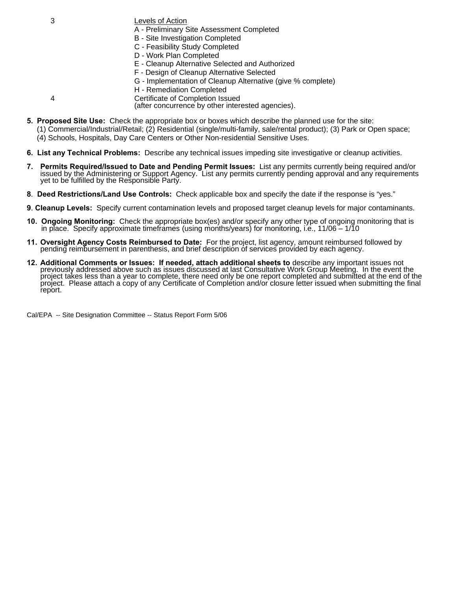3 Levels of Action

- A Preliminary Site Assessment Completed
- B Site Investigation Completed
- C Feasibility Study Completed
- D Work Plan Completed
- E Cleanup Alternative Selected and Authorized
- F Design of Cleanup Alternative Selected
- G Implementation of Cleanup Alternative (give % complete)
- H Remediation Completed
- 4 Certificate of Completion Issued

(after concurrence by other interested agencies).

- **5. Proposed Site Use:** Check the appropriate box or boxes which describe the planned use for the site:
	- (1) Commercial/Industrial/Retail; (2) Residential (single/multi-family, sale/rental product); (3) Park or Open space; (4) Schools, Hospitals, Day Care Centers or Other Non-residential Sensitive Uses.
- **6. List any Technical Problems:** Describe any technical issues impeding site investigative or cleanup activities.
- **Permits Required/Issued to Date and Pending Permit Issues:** List any permits currently being required and/or issued by the Administering or Support Agency. List any permits currently pending approval and any requirements
- **8**. **Deed Restrictions/Land Use Controls:** Check applicable box and specify the date if the response is "yes."
- **9**. **Cleanup Levels:** Specify current contamination levels and proposed target cleanup levels for major contaminants.
- **10. Ongoing Monitoring:** Check the appropriate box(es) and/or specify any other type of ongoing monitoring that is in place. Specify approximate timeframes (using months/years) for monitoring, i.e., 11/06 1/10
- **11. Oversight Agency Costs Reimbursed to Date:** For the project, list agency, amount reimbursed followed by pending reimbursement in parenthesis, and brief description of services provided by each agency.
- **12. Additional Comments or Issues: If needed, attach additional sheets to** describe any important issues not previously addressed above such as issues discussed at last Consultative Work Group Meeting. In the event the pr report.

Cal/EPA -- Site Designation Committee -- Status Report Form 5/06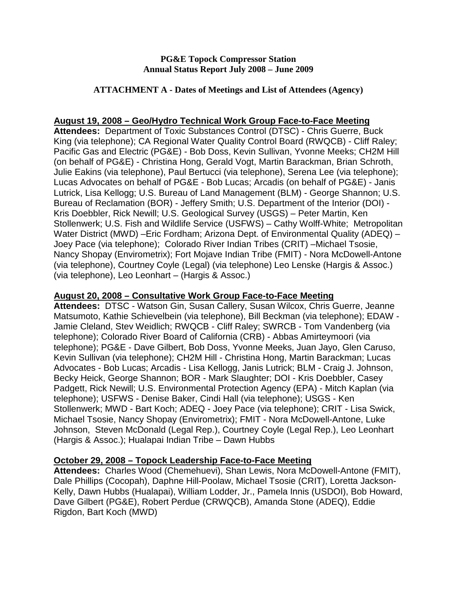### **PG&E Topock Compressor Station Annual Status Report July 2008 – June 2009**

### **ATTACHMENT A - Dates of Meetings and List of Attendees (Agency)**

### **August 19, 2008 – Geo/Hydro Technical Work Group Face-to-Face Meeting**

**Attendees:** Department of Toxic Substances Control (DTSC) - Chris Guerre, Buck King (via telephone); CA Regional Water Quality Control Board (RWQCB) - Cliff Raley; Pacific Gas and Electric (PG&E) - Bob Doss, Kevin Sullivan, Yvonne Meeks; CH2M Hill (on behalf of PG&E) - Christina Hong, Gerald Vogt, Martin Barackman, Brian Schroth, Julie Eakins (via telephone), Paul Bertucci (via telephone), Serena Lee (via telephone); Lucas Advocates on behalf of PG&E - Bob Lucas; Arcadis (on behalf of PG&E) - Janis Lutrick, Lisa Kellogg; U.S. Bureau of Land Management (BLM) - George Shannon; U.S. Bureau of Reclamation (BOR) - Jeffery Smith; U.S. Department of the Interior (DOI) - Kris Doebbler, Rick Newill; U.S. Geological Survey (USGS) – Peter Martin, Ken Stollenwerk; U.S. Fish and Wildlife Service (USFWS) – Cathy Wolff-White; Metropolitan Water District (MWD) – Eric Fordham; Arizona Dept. of Environmental Quality (ADEQ) – Joey Pace (via telephone); Colorado River Indian Tribes (CRIT) –Michael Tsosie, Nancy Shopay (Envirometrix); Fort Mojave Indian Tribe (FMIT) - Nora McDowell-Antone (via telephone), Courtney Coyle (Legal) (via telephone) Leo Lenske (Hargis & Assoc.) (via telephone), Leo Leonhart – (Hargis & Assoc.)

### **August 20, 2008 – Consultative Work Group Face-to-Face Meeting**

**Attendees:** DTSC - Watson Gin, Susan Callery, Susan Wilcox, Chris Guerre, Jeanne Matsumoto, Kathie Schievelbein (via telephone), Bill Beckman (via telephone); EDAW - Jamie Cleland, Stev Weidlich; RWQCB - Cliff Raley; SWRCB - Tom Vandenberg (via telephone); Colorado River Board of California (CRB) - Abbas Amirteymoori (via telephone); PG&E - Dave Gilbert, Bob Doss, Yvonne Meeks, Juan Jayo, Glen Caruso, Kevin Sullivan (via telephone); CH2M Hill - Christina Hong, Martin Barackman; Lucas Advocates - Bob Lucas; Arcadis - Lisa Kellogg, Janis Lutrick; BLM - Craig J. Johnson, Becky Heick, George Shannon; BOR - Mark Slaughter; DOI - Kris Doebbler, Casey Padgett, Rick Newill; U.S. Environmental Protection Agency (EPA) - Mitch Kaplan (via telephone); USFWS - Denise Baker, Cindi Hall (via telephone); USGS - Ken Stollenwerk; MWD - Bart Koch; ADEQ - Joey Pace (via telephone); CRIT - Lisa Swick, Michael Tsosie, Nancy Shopay (Envirometrix); FMIT - Nora McDowell-Antone, Luke Johnson, Steven McDonald (Legal Rep.), Courtney Coyle (Legal Rep.), Leo Leonhart (Hargis & Assoc.); Hualapai Indian Tribe – Dawn Hubbs

## **October 29, 2008 – Topock Leadership Face-to-Face Meeting**

**Attendees:** Charles Wood (Chemehuevi), Shan Lewis, Nora McDowell-Antone (FMIT), Dale Phillips (Cocopah), Daphne Hill-Poolaw, Michael Tsosie (CRIT), Loretta Jackson-Kelly, Dawn Hubbs (Hualapai), William Lodder, Jr., Pamela Innis (USDOI), Bob Howard, Dave Gilbert (PG&E), Robert Perdue (CRWQCB), Amanda Stone (ADEQ), Eddie Rigdon, Bart Koch (MWD)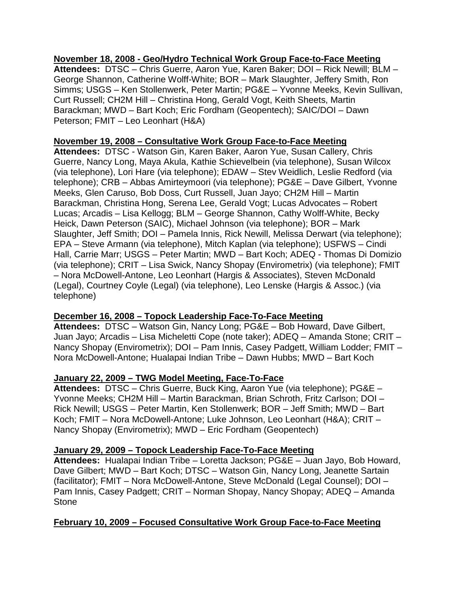# **November 18, 2008 - Geo/Hydro Technical Work Group Face-to-Face Meeting**

**Attendees:** DTSC – Chris Guerre, Aaron Yue, Karen Baker; DOI – Rick Newill; BLM – George Shannon, Catherine Wolff-White; BOR – Mark Slaughter, Jeffery Smith, Ron Simms; USGS – Ken Stollenwerk, Peter Martin; PG&E – Yvonne Meeks, Kevin Sullivan, Curt Russell; CH2M Hill – Christina Hong, Gerald Vogt, Keith Sheets, Martin Barackman; MWD – Bart Koch; Eric Fordham (Geopentech); SAIC/DOI – Dawn Peterson; FMIT – Leo Leonhart (H&A)

## **November 19, 2008 – Consultative Work Group Face-to-Face Meeting**

**Attendees:** DTSC - Watson Gin, Karen Baker, Aaron Yue, Susan Callery, Chris Guerre, Nancy Long, Maya Akula, Kathie Schievelbein (via telephone), Susan Wilcox (via telephone), Lori Hare (via telephone); EDAW – Stev Weidlich, Leslie Redford (via telephone); CRB – Abbas Amirteymoori (via telephone); PG&E – Dave Gilbert, Yvonne Meeks, Glen Caruso, Bob Doss, Curt Russell, Juan Jayo; CH2M Hill – Martin Barackman, Christina Hong, Serena Lee, Gerald Vogt; Lucas Advocates – Robert Lucas; Arcadis – Lisa Kellogg; BLM – George Shannon, Cathy Wolff-White, Becky Heick, Dawn Peterson (SAIC), Michael Johnson (via telephone); BOR – Mark Slaughter, Jeff Smith; DOI – Pamela Innis, Rick Newill, Melissa Derwart (via telephone); EPA – Steve Armann (via telephone), Mitch Kaplan (via telephone); USFWS – Cindi Hall, Carrie Marr; USGS – Peter Martin; MWD – Bart Koch; ADEQ - Thomas Di Domizio (via telephone); CRIT – Lisa Swick, Nancy Shopay (Envirometrix) (via telephone); FMIT – Nora McDowell-Antone, Leo Leonhart (Hargis & Associates), Steven McDonald (Legal), Courtney Coyle (Legal) (via telephone), Leo Lenske (Hargis & Assoc.) (via telephone)

## **December 16, 2008 – Topock Leadership Face-To-Face Meeting**

**Attendees:** DTSC – Watson Gin, Nancy Long; PG&E – Bob Howard, Dave Gilbert, Juan Jayo; Arcadis – Lisa Micheletti Cope (note taker); ADEQ – Amanda Stone; CRIT – Nancy Shopay (Envirometrix); DOI – Pam Innis, Casey Padgett, William Lodder; FMIT – Nora McDowell-Antone; Hualapai Indian Tribe – Dawn Hubbs; MWD – Bart Koch

# **January 22, 2009 – TWG Model Meeting, Face-To-Face**

**Attendees:** DTSC – Chris Guerre, Buck King, Aaron Yue (via telephone); PG&E – Yvonne Meeks; CH2M Hill – Martin Barackman, Brian Schroth, Fritz Carlson; DOI – Rick Newill; USGS – Peter Martin, Ken Stollenwerk; BOR – Jeff Smith; MWD – Bart Koch; FMIT – Nora McDowell-Antone; Luke Johnson, Leo Leonhart (H&A); CRIT – Nancy Shopay (Envirometrix); MWD – Eric Fordham (Geopentech)

## **January 29, 2009 – Topock Leadership Face-To-Face Meeting**

**Attendees:** Hualapai Indian Tribe – Loretta Jackson; PG&E – Juan Jayo, Bob Howard, Dave Gilbert; MWD – Bart Koch; DTSC – Watson Gin, Nancy Long, Jeanette Sartain (facilitator); FMIT – Nora McDowell-Antone, Steve McDonald (Legal Counsel); DOI – Pam Innis, Casey Padgett; CRIT – Norman Shopay, Nancy Shopay; ADEQ – Amanda Stone

# **February 10, 2009 – Focused Consultative Work Group Face-to-Face Meeting**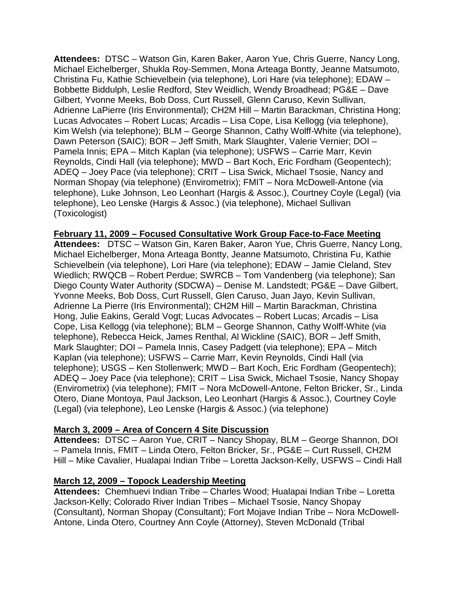**Attendees:** DTSC – Watson Gin, Karen Baker, Aaron Yue, Chris Guerre, Nancy Long, Michael Eichelberger, Shukla Roy-Semmen, Mona Arteaga Bontty, Jeanne Matsumoto, Christina Fu, Kathie Schievelbein (via telephone), Lori Hare (via telephone); EDAW – Bobbette Biddulph, Leslie Redford, Stev Weidlich, Wendy Broadhead; PG&E – Dave Gilbert, Yvonne Meeks, Bob Doss, Curt Russell, Glenn Caruso, Kevin Sullivan, Adrienne LaPierre (Iris Environmental); CH2M Hill – Martin Barackman, Christina Hong; Lucas Advocates – Robert Lucas; Arcadis – Lisa Cope, Lisa Kellogg (via telephone), Kim Welsh (via telephone); BLM – George Shannon, Cathy Wolff-White (via telephone), Dawn Peterson (SAIC); BOR – Jeff Smith, Mark Slaughter, Valerie Vernier; DOI – Pamela Innis; EPA – Mitch Kaplan (via telephone); USFWS – Carrie Marr, Kevin Reynolds, Cindi Hall (via telephone); MWD – Bart Koch, Eric Fordham (Geopentech); ADEQ – Joey Pace (via telephone); CRIT – Lisa Swick, Michael Tsosie, Nancy and Norman Shopay (via telephone) (Envirometrix); FMIT – Nora McDowell-Antone (via telephone), Luke Johnson, Leo Leonhart (Hargis & Assoc.), Courtney Coyle (Legal) (via telephone), Leo Lenske (Hargis & Assoc.) (via telephone), Michael Sullivan (Toxicologist)

**February 11, 2009 – Focused Consultative Work Group Face-to-Face Meeting Attendees:** DTSC – Watson Gin, Karen Baker, Aaron Yue, Chris Guerre, Nancy Long, Michael Eichelberger, Mona Arteaga Bontty, Jeanne Matsumoto, Christina Fu, Kathie Schievelbein (via telephone), Lori Hare (via telephone); EDAW – Jamie Cleland, Stev Wiedlich; RWQCB – Robert Perdue; SWRCB – Tom Vandenberg (via telephone); San Diego County Water Authority (SDCWA) – Denise M. Landstedt; PG&E – Dave Gilbert, Yvonne Meeks, Bob Doss, Curt Russell, Glen Caruso, Juan Jayo, Kevin Sullivan, Adrienne La Pierre (Iris Environmental); CH2M Hill – Martin Barackman, Christina Hong, Julie Eakins, Gerald Vogt; Lucas Advocates – Robert Lucas; Arcadis – Lisa Cope, Lisa Kellogg (via telephone); BLM – George Shannon, Cathy Wolff-White (via telephone), Rebecca Heick, James Renthal, Al Wickline (SAIC), BOR – Jeff Smith, Mark Slaughter; DOI – Pamela Innis, Casey Padgett (via telephone); EPA – Mitch Kaplan (via telephone); USFWS – Carrie Marr, Kevin Reynolds, Cindi Hall (via telephone); USGS – Ken Stollenwerk; MWD – Bart Koch, Eric Fordham (Geopentech); ADEQ – Joey Pace (via telephone); CRIT – Lisa Swick, Michael Tsosie, Nancy Shopay (Envirometrix) (via telephone); FMIT – Nora McDowell-Antone, Felton Bricker, Sr., Linda Otero, Diane Montoya, Paul Jackson, Leo Leonhart (Hargis & Assoc.), Courtney Coyle (Legal) (via telephone), Leo Lenske (Hargis & Assoc.) (via telephone)

## **March 3, 2009 – Area of Concern 4 Site Discussion**

**Attendees:** DTSC – Aaron Yue, CRIT – Nancy Shopay, BLM – George Shannon, DOI – Pamela Innis, FMIT – Linda Otero, Felton Bricker, Sr., PG&E – Curt Russell, CH2M Hill – Mike Cavalier, Hualapai Indian Tribe – Loretta Jackson-Kelly, USFWS – Cindi Hall

## **March 12, 2009 – Topock Leadership Meeting**

**Attendees:** Chemhuevi Indian Tribe – Charles Wood; Hualapai Indian Tribe – Loretta Jackson-Kelly; Colorado River Indian Tribes – Michael Tsosie, Nancy Shopay (Consultant), Norman Shopay (Consultant); Fort Mojave Indian Tribe – Nora McDowell-Antone, Linda Otero, Courtney Ann Coyle (Attorney), Steven McDonald (Tribal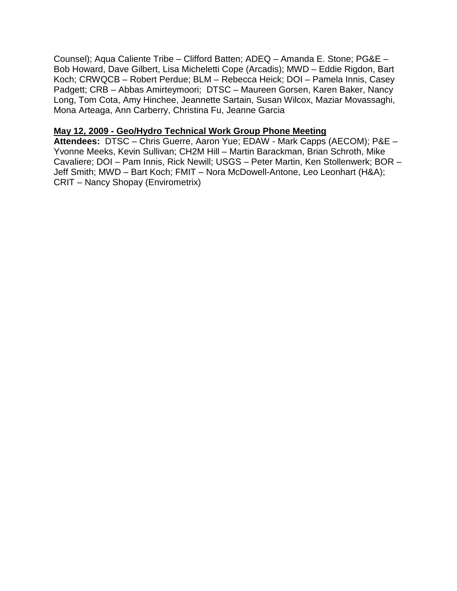Counsel); Aqua Caliente Tribe – Clifford Batten; ADEQ – Amanda E. Stone; PG&E – Bob Howard, Dave Gilbert, Lisa Micheletti Cope (Arcadis); MWD – Eddie Rigdon, Bart Koch; CRWQCB – Robert Perdue; BLM – Rebecca Heick; DOI – Pamela Innis, Casey Padgett; CRB – Abbas Amirteymoori; DTSC – Maureen Gorsen, Karen Baker, Nancy Long, Tom Cota, Amy Hinchee, Jeannette Sartain, Susan Wilcox, Maziar Movassaghi, Mona Arteaga, Ann Carberry, Christina Fu, Jeanne Garcia

### **May 12, 2009 - Geo/Hydro Technical Work Group Phone Meeting**

**Attendees:** DTSC – Chris Guerre, Aaron Yue; EDAW - Mark Capps (AECOM); P&E – Yvonne Meeks, Kevin Sullivan; CH2M Hill – Martin Barackman, Brian Schroth, Mike Cavaliere; DOI – Pam Innis, Rick Newill; USGS – Peter Martin, Ken Stollenwerk; BOR – Jeff Smith; MWD – Bart Koch; FMIT – Nora McDowell-Antone, Leo Leonhart (H&A); CRIT – Nancy Shopay (Envirometrix)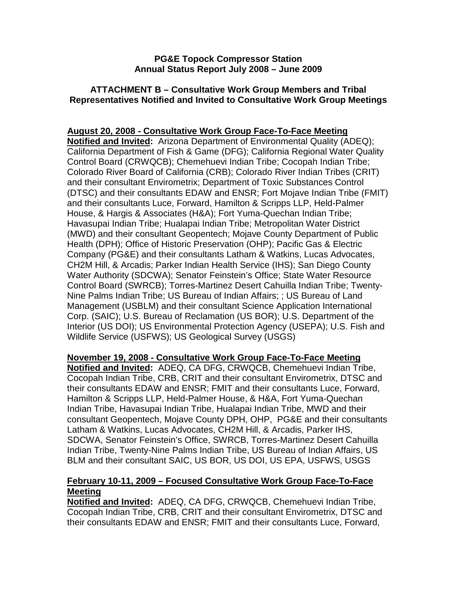### **PG&E Topock Compressor Station Annual Status Report July 2008 – June 2009**

## **ATTACHMENT B – Consultative Work Group Members and Tribal Representatives Notified and Invited to Consultative Work Group Meetings**

# **August 20, 2008 - Consultative Work Group Face-To-Face Meeting**

**Notified and Invited:** Arizona Department of Environmental Quality (ADEQ); California Department of Fish & Game (DFG); California Regional Water Quality Control Board (CRWQCB); Chemehuevi Indian Tribe; Cocopah Indian Tribe; Colorado River Board of California (CRB); Colorado River Indian Tribes (CRIT) and their consultant Envirometrix; Department of Toxic Substances Control (DTSC) and their consultants EDAW and ENSR; Fort Mojave Indian Tribe (FMIT) and their consultants Luce, Forward, Hamilton & Scripps LLP, Held-Palmer House, & Hargis & Associates (H&A); Fort Yuma-Quechan Indian Tribe; Havasupai Indian Tribe; Hualapai Indian Tribe; Metropolitan Water District (MWD) and their consultant Geopentech; Mojave County Department of Public Health (DPH); Office of Historic Preservation (OHP); Pacific Gas & Electric Company (PG&E) and their consultants Latham & Watkins, Lucas Advocates, CH2M Hill, & Arcadis; Parker Indian Health Service (IHS); San Diego County Water Authority (SDCWA); Senator Feinstein's Office; State Water Resource Control Board (SWRCB); Torres-Martinez Desert Cahuilla Indian Tribe; Twenty-Nine Palms Indian Tribe; US Bureau of Indian Affairs; ; US Bureau of Land Management (USBLM) and their consultant Science Application International Corp. (SAIC); U.S. Bureau of Reclamation (US BOR); U.S. Department of the Interior (US DOI); US Environmental Protection Agency (USEPA); U.S. Fish and Wildlife Service (USFWS); US Geological Survey (USGS)

## **November 19, 2008 - Consultative Work Group Face-To-Face Meeting**

**Notified and Invited:** ADEQ, CA DFG, CRWQCB, Chemehuevi Indian Tribe, Cocopah Indian Tribe, CRB, CRIT and their consultant Envirometrix, DTSC and their consultants EDAW and ENSR; FMIT and their consultants Luce, Forward, Hamilton & Scripps LLP, Held-Palmer House, & H&A, Fort Yuma-Quechan Indian Tribe, Havasupai Indian Tribe, Hualapai Indian Tribe, MWD and their consultant Geopentech, Mojave County DPH, OHP, PG&E and their consultants Latham & Watkins, Lucas Advocates, CH2M Hill, & Arcadis, Parker IHS, SDCWA, Senator Feinstein's Office, SWRCB, Torres-Martinez Desert Cahuilla Indian Tribe, Twenty-Nine Palms Indian Tribe, US Bureau of Indian Affairs, US BLM and their consultant SAIC, US BOR, US DOI, US EPA, USFWS, USGS

## **February 10-11, 2009 – Focused Consultative Work Group Face-To-Face Meeting**

**Notified and Invited:** ADEQ, CA DFG, CRWQCB, Chemehuevi Indian Tribe, Cocopah Indian Tribe, CRB, CRIT and their consultant Envirometrix, DTSC and their consultants EDAW and ENSR; FMIT and their consultants Luce, Forward,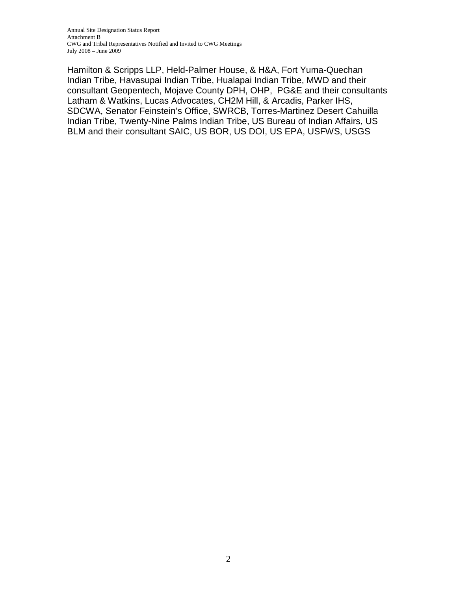Annual Site Designation Status Report Attachment B CWG and Tribal Representatives Notified and Invited to CWG Meetings July 2008 – June 2009

Hamilton & Scripps LLP, Held-Palmer House, & H&A, Fort Yuma-Quechan Indian Tribe, Havasupai Indian Tribe, Hualapai Indian Tribe, MWD and their consultant Geopentech, Mojave County DPH, OHP, PG&E and their consultants Latham & Watkins, Lucas Advocates, CH2M Hill, & Arcadis, Parker IHS, SDCWA, Senator Feinstein's Office, SWRCB, Torres-Martinez Desert Cahuilla Indian Tribe, Twenty-Nine Palms Indian Tribe, US Bureau of Indian Affairs, US BLM and their consultant SAIC, US BOR, US DOI, US EPA, USFWS, USGS